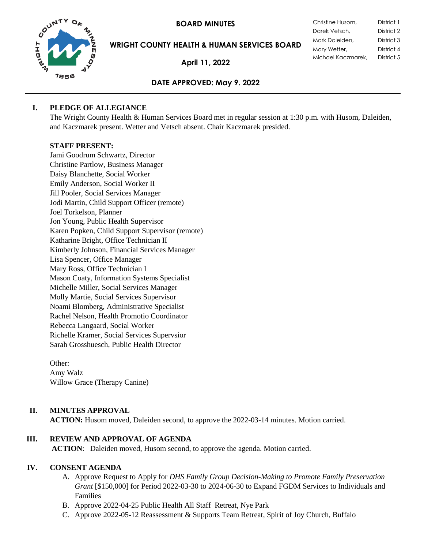**BOARD MINUTES** 



**WRIGHT COUNTY HEALTH & HUMAN SERVICES BOARD**

**April 11, 2022**

| Christine Husom,   | District 1 |
|--------------------|------------|
| Darek Vetsch,      | District 2 |
| Mark Daleiden,     | District 3 |
| Mary Wetter,       | District 4 |
| Michael Kaczmarek, | District 5 |

# **DATE APPROVED: May 9. 2022**

# **I. PLEDGE OF ALLEGIANCE**

The Wright County Health & Human Services Board met in regular session at 1:30 p.m. with Husom, Daleiden, and Kaczmarek present. Wetter and Vetsch absent. Chair Kaczmarek presided.

# **STAFF PRESENT:**

Jami Goodrum Schwartz, Director Christine Partlow, Business Manager Daisy Blanchette, Social Worker Emily Anderson, Social Worker II Jill Pooler, Social Services Manager Jodi Martin, Child Support Officer (remote) Joel Torkelson, Planner Jon Young, Public Health Supervisor Karen Popken, Child Support Supervisor (remote) Katharine Bright, Office Technician II Kimberly Johnson, Financial Services Manager Lisa Spencer, Office Manager Mary Ross, Office Technician I Mason Coaty, Information Systems Specialist Michelle Miller, Social Services Manager Molly Martie, Social Services Supervisor Noami Blomberg, Administrative Specialist Rachel Nelson, Health Promotio Coordinator Rebecca Langaard, Social Worker Richelle Kramer, Social Services Supervsior Sarah Grosshuesch, Public Health Director

Other: Amy Walz Willow Grace (Therapy Canine)

# **II. MINUTES APPROVAL**

**ACTION:** Husom moved, Daleiden second, to approve the 2022-03-14 minutes. Motion carried.

# **III. REVIEW AND APPROVAL OF AGENDA**

**ACTION**: Daleiden moved, Husom second, to approve the agenda. Motion carried.

# **IV. CONSENT AGENDA**

- A. Approve Request to Apply for *DHS Family Group Decision-Making to Promote Family Preservation Grant* [\$150,000] for Period 2022-03-30 to 2024-06-30 to Expand FGDM Services to Individuals and Families
- B. Approve 2022-04-25 Public Health All Staff Retreat, Nye Park
- C. Approve 2022-05-12 Reassessment & Supports Team Retreat, Spirit of Joy Church, Buffalo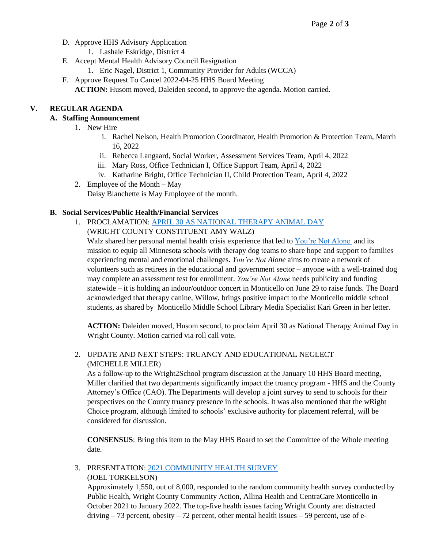- D. Approve HHS Advisory Application
	- 1. Lashale Eskridge, District 4
- E. Accept Mental Health Advisory Council Resignation
	- 1. Eric Nagel, District 1, Community Provider for Adults (WCCA)
- F. Approve Request To Cancel 2022-04-25 HHS Board Meeting **ACTION:** Husom moved, Daleiden second, to approve the agenda. Motion carried.

## **V. REGULAR AGENDA**

# **A. Staffing Announcement**

- 1. New Hire
	- i. Rachel Nelson, Health Promotion Coordinator, Health Promotion & Protection Team, March 16, 2022
	- ii. Rebecca Langaard, Social Worker, Assessment Services Team, April 4, 2022
	- iii. Mary Ross, Office Technician I, Office Support Team, April 4, 2022
	- iv. Katharine Bright, Office Technician II, Child Protection Team, April 4, 2022
- 2. Employee of the Month May Daisy Blanchette is May Employee of the month.

### **B. Social Services/Public Health/Financial Services**

1. PROCLAMATION: APRIL 30 [AS NATIONAL THERAPY ANIMAL DAY](https://www.co.wright.mn.us/AgendaCenter/ViewFile/Item/10542?fileID=22913) (WRIGHT COUNTY CONSTITUENT AMY WALZ)

Walz shared her personal mental health crisis experience that led to [You're Not Alone](https://ynausa.org/) and its mission to equip all Minnesota schools with therapy dog teams to share hope and support to families experiencing mental and emotional challenges. *You're Not Alone* aims to create a network of volunteers such as retirees in the educational and government sector – anyone with a well-trained dog may complete an assessment test for enrollment. *You're Not Alone* needs publicity and funding statewide – it is holding an indoor/outdoor concert in Monticello on June 29 to raise funds. The Board acknowledged that therapy canine, Willow, brings positive impact to the Monticello middle school students, as shared by Monticello Middle School Library Media Specialist Kari Green in her letter.

**ACTION:** Daleiden moved, Husom second, to proclaim April 30 as National Therapy Animal Day in Wright County. Motion carried via roll call vote.

## 2. UPDATE AND NEXT STEPS: TRUANCY AND EDUCATIONAL NEGLECT (MICHELLE MILLER)

As a follow-up to the Wright2School program discussion at the January 10 HHS Board meeting, Miller clarified that two departments significantly impact the truancy program - HHS and the County Attorney's Office (CAO). The Departments will develop a joint survey to send to schools for their perspectives on the County truancy presence in the schools. It was also mentioned that the wRight Choice program, although limited to schools' exclusive authority for placement referral, will be considered for discussion.

**CONSENSUS**: Bring this item to the May HHS Board to set the Committee of the Whole meeting date.

3. PRESENTATION: [2021 COMMUNITY HEALTH SURVEY](https://www.co.wright.mn.us/AgendaCenter/ViewFile/Item/10544?fileID=22910) (JOEL TORKELSON)

Approximately 1,550, out of 8,000, responded to the random community health survey conducted by Public Health, Wright County Community Action, Allina Health and CentraCare Monticello in October 2021 to January 2022. The top-five health issues facing Wright County are: distracted  $driving - 73$  percent, obesity  $-72$  percent, other mental health issues  $-59$  percent, use of e